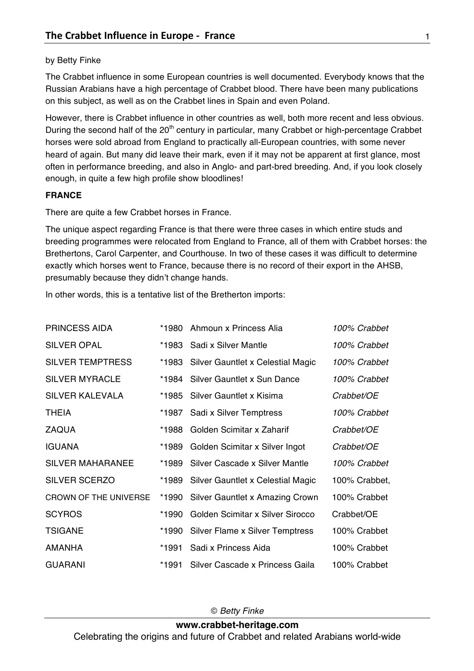## by Betty Finke

The Crabbet influence in some European countries is well documented. Everybody knows that the Russian Arabians have a high percentage of Crabbet blood. There have been many publications on this subject, as well as on the Crabbet lines in Spain and even Poland.

However, there is Crabbet influence in other countries as well, both more recent and less obvious. During the second half of the 20<sup>th</sup> century in particular, many Crabbet or high-percentage Crabbet horses were sold abroad from England to practically all-European countries, with some never heard of again. But many did leave their mark, even if it may not be apparent at first glance, most often in performance breeding, and also in Anglo- and part-bred breeding. And, if you look closely enough, in quite a few high profile show bloodlines!

## **FRANCE**

There are quite a few Crabbet horses in France.

The unique aspect regarding France is that there were three cases in which entire studs and breeding programmes were relocated from England to France, all of them with Crabbet horses: the Brethertons, Carol Carpenter, and Courthouse. In two of these cases it was difficult to determine exactly which horses went to France, because there is no record of their export in the AHSB, presumably because they didn't change hands.

In other words, this is a tentative list of the Bretherton imports:

| <b>PRINCESS AIDA</b>    | *1980 | Ahmoun x Princess Alia            | 100% Crabbet  |
|-------------------------|-------|-----------------------------------|---------------|
| <b>SILVER OPAL</b>      | *1983 | Sadi x Silver Mantle              | 100% Crabbet  |
| <b>SILVER TEMPTRESS</b> | *1983 | Silver Gauntlet x Celestial Magic | 100% Crabbet  |
| <b>SILVER MYRACLE</b>   | *1984 | Silver Gauntlet x Sun Dance       | 100% Crabbet  |
| <b>SILVER KALEVALA</b>  | *1985 | Silver Gauntlet x Kisima          | Crabbet/OE    |
| <b>THEIA</b>            | *1987 | Sadi x Silver Temptress           | 100% Crabbet  |
| <b>ZAQUA</b>            | *1988 | Golden Scimitar x Zaharif         | Crabbet/OE    |
| <b>IGUANA</b>           | *1989 | Golden Scimitar x Silver Ingot    | Crabbet/OE    |
| <b>SILVER MAHARANEE</b> | *1989 | Silver Cascade x Silver Mantle    | 100% Crabbet  |
| <b>SILVER SCERZO</b>    | *1989 | Silver Gauntlet x Celestial Magic | 100% Crabbet, |
| CROWN OF THE UNIVERSE   | *1990 | Silver Gauntlet x Amazing Crown   | 100% Crabbet  |
| <b>SCYROS</b>           | *1990 | Golden Scimitar x Silver Sirocco  | Crabbet/OE    |
| <b>TSIGANE</b>          | *1990 | Silver Flame x Silver Temptress   | 100% Crabbet  |
| <b>AMANHA</b>           | *1991 | Sadi x Princess Aida              | 100% Crabbet  |
| <b>GUARANI</b>          | *1991 | Silver Cascade x Princess Gaila   | 100% Crabbet  |

© *Betty Finke*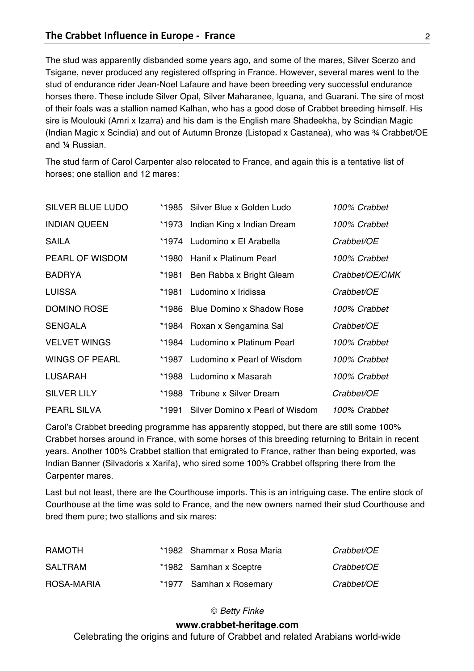The stud was apparently disbanded some years ago, and some of the mares, Silver Scerzo and Tsigane, never produced any registered offspring in France. However, several mares went to the stud of endurance rider Jean-Noel Lafaure and have been breeding very successful endurance horses there. These include Silver Opal, Silver Maharanee, Iguana, and Guarani. The sire of most of their foals was a stallion named Kalhan, who has a good dose of Crabbet breeding himself. His sire is Moulouki (Amri x Izarra) and his dam is the English mare Shadeekha, by Scindian Magic (Indian Magic x Scindia) and out of Autumn Bronze (Listopad x Castanea), who was ¾ Crabbet/OE and ¼ Russian.

The stud farm of Carol Carpenter also relocated to France, and again this is a tentative list of horses; one stallion and 12 mares:

| <b>SILVER BLUE LUDO</b> |       | *1985 Silver Blue x Golden Ludo       | 100% Crabbet   |
|-------------------------|-------|---------------------------------------|----------------|
| <b>INDIAN QUEEN</b>     | *1973 | Indian King x Indian Dream            | 100% Crabbet   |
| SAILA                   |       | *1974 Ludomino x El Arabella          | Crabbet/OE     |
| <b>PEARL OF WISDOM</b>  |       | *1980 Hanif x Platinum Pearl          | 100% Crabbet   |
| <b>BADRYA</b>           |       | *1981 Ben Rabba x Bright Gleam        | Crabbet/OE/CMK |
| <b>LUISSA</b>           |       | *1981 Ludomino x Iridissa             | Crabbet/OE     |
| DOMINO ROSE             |       | *1986 Blue Domino x Shadow Rose       | 100% Crabbet   |
| <b>SENGALA</b>          |       | *1984 Roxan x Sengamina Sal           | Crabbet/OE     |
| <b>VELVET WINGS</b>     |       | *1984 Ludomino x Platinum Pearl       | 100% Crabbet   |
| <b>WINGS OF PEARL</b>   |       | *1987 Ludomino x Pearl of Wisdom      | 100% Crabbet   |
| <b>LUSARAH</b>          |       | *1988 Ludomino x Masarah              | 100% Crabbet   |
| <b>SILVER LILY</b>      |       | *1988 Tribune x Silver Dream          | Crabbet/OE     |
| <b>PEARL SILVA</b>      |       | *1991 Silver Domino x Pearl of Wisdom | 100% Crabbet   |

Carol's Crabbet breeding programme has apparently stopped, but there are still some 100% Crabbet horses around in France, with some horses of this breeding returning to Britain in recent years. Another 100% Crabbet stallion that emigrated to France, rather than being exported, was Indian Banner (Silvadoris x Xarifa), who sired some 100% Crabbet offspring there from the Carpenter mares.

Last but not least, there are the Courthouse imports. This is an intriguing case. The entire stock of Courthouse at the time was sold to France, and the new owners named their stud Courthouse and bred them pure; two stallions and six mares:

| RAMOTH     | *1982 Shammar x Rosa Maria | Crabbet/OE |
|------------|----------------------------|------------|
| SALTRAM    | *1982 Samhan x Sceptre     | Crabbet/OE |
| ROSA-MARIA | *1977 Samhan x Rosemary    | Crabbet/OE |

© *Betty Finke*

## **www.crabbet-heritage.com**

Celebrating the origins and future of Crabbet and related Arabians world-wide